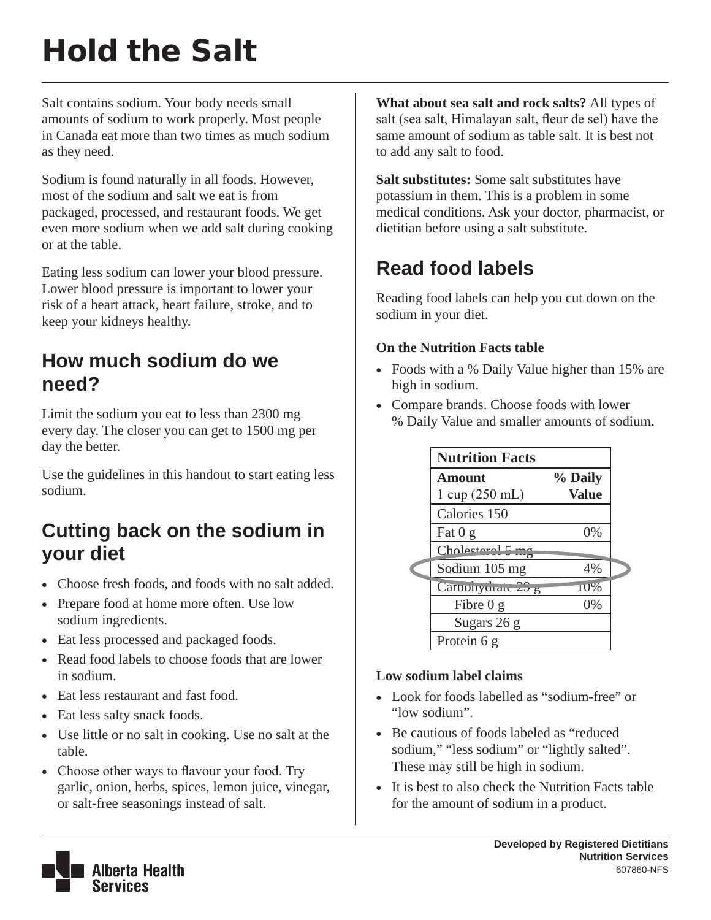# Hold the Salt

Salt contains sodium. Your body needs small amounts of sodium to work properly. Most people in Canada eat more than two times as much sodium as they need.

Sodium is found naturally in all foods. However, most of the sodium and salt we eat is from packaged, processed, and restaurant foods. We get even more sodium when we add salt during cooking or at the table.

Eating less sodium can lower your blood pressure. Lower blood pressure is important to lower your risk of a heart attack, heart failure, stroke, and to keep your kidneys healthy.

# **How much sodium do we need?**

Limit the sodium you eat to less than 2300 mg every day. The closer you can get to 1500 mg per day the better.

Use the guidelines in this handout to start eating less sodium.

## **Cutting back on the sodium in your diet**

- Choose fresh foods, and foods with no salt added.
- Prepare food at home more often. Use low sodium ingredients.
- Eat less processed and packaged foods.
- Read food labels to choose foods that are lower in sodium.
- Eat less restaurant and fast food.
- Eat less salty snack foods.
- Use little or no salt in cooking. Use no salt at the table.
- Choose other ways to flavour your food. Try garlic, onion, herbs, spices, lemon juice, vinegar, or salt-free seasonings instead of salt.

**What about sea salt and rock salts?** All types of salt (sea salt, Himalayan salt, fleur de sel) have the same amount of sodium as table salt. It is best not to add any salt to food.

**Salt substitutes:** Some salt substitutes have potassium in them. This is a problem in some medical conditions. Ask your doctor, pharmacist, or dietitian before using a salt substitute.

# **Read food labels**

Reading food labels can help you cut down on the sodium in your diet.

#### **On the Nutrition Facts table**

- Foods with a % Daily Value higher than 15% are high in sodium.
- Compare brands. Choose foods with lower % Daily Value and smaller amounts of sodium.

| <b>Nutrition Facts</b>           |              |  |
|----------------------------------|--------------|--|
| <b>Amount</b>                    | % Daily      |  |
| $1 \text{ cup} (250 \text{ mL})$ | <b>Value</b> |  |
| Calories 150                     |              |  |
| Fat $0 g$                        | 0%           |  |
| Cholateral5                      |              |  |
| Sodium 105 mg                    | 4%           |  |
| Carbonyuraic 25 g                | <b>10%</b>   |  |
| Fibre $0 g$                      | 0%           |  |
| Sugars 26 g                      |              |  |
| Protein 6 g                      |              |  |

#### **Low sodium label claims**

- Look for foods labelled as "sodium-free" or "low sodium".
- Be cautious of foods labeled as "reduced" sodium," "less sodium" or "lightly salted". These may still be high in sodium.
- It is best to also check the Nutrition Facts table for the amount of sodium in a product.